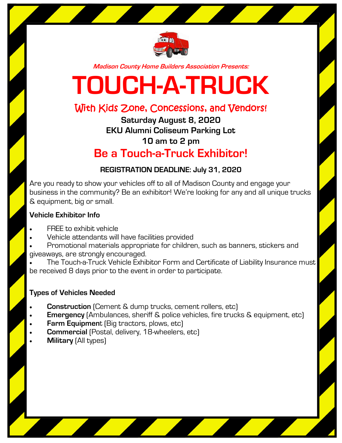

**Madison County Home Builders Association Presents:**

# **TOUCH-A-TRUCK**

## With Kids Zone, Concessions, and Vendors!

**Saturday August 8, 2020 EKU Alumni Coliseum Parking Lot 10 am to 2 pm Be a Touch-a-Truck Exhibitor!**

#### **REGISTRATION DEADLINE: July 31, 2020**

Are you ready to show your vehicles off to all of Madison County and engage your business in the community? Be an exhibitor! We're looking for any and all unique trucks & equipment, big or small.

#### **Vehicle Exhibitor Info**

- FREE to exhibit vehicle
- Vehicle attendants will have facilities provided
- Promotional materials appropriate for children, such as banners, stickers and giveaways, are strongly encouraged.
- The Touch-a-Truck Vehicle Exhibitor Form and Certificate of Liability Insurance must be received 8 days prior to the event in order to participate.

#### **Types of Vehicles Needed**

- **Construction** (Cement & dump trucks, cement rollers, etc)
- **Emergency** (Ambulances, sheriff & police vehicles, fire trucks & equipment, etc)
- **Farm Equipment** (Big tractors, plows, etc)
- **Commercial** (Postal, delivery, 18-wheelers, etc)
- **Military** (All types)